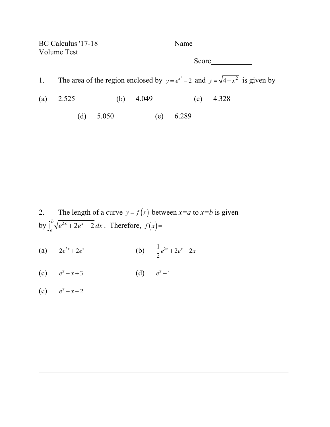BC Calculus '17-18 Name Volume Test Score extension of the set of the set of the set of the set of the set of the set of the set of the set of the set of the set of the set of the set of the set of the set of the set of the set of the set of the set of the s 1. The area of the region enclosed by  $y = e^{x^2} - 2$  and  $y = \sqrt{4-x^2}$  is given by (a) 2.525 (b) 4.049 (c) 4.328 (d) 5.050 (e) 6.289

2. The length of a curve  $y = f(x)$  between  $x=a$  to  $x=b$  is given by  $\int_a^b \sqrt{e^{2x} + 2e^x + 2} dx$ . Therefore,  $f(x) =$ 

- (a)  $2e^{2x} + 2e^x$  $2^{2x} + 2e^x$  (b)  $\frac{1}{2}$ 2  $e^{2x} + 2e^{x} + 2x$
- (c)  $e^x x + 3$  (d)  $e^x + 1$
- (e)  $e^x + x 2$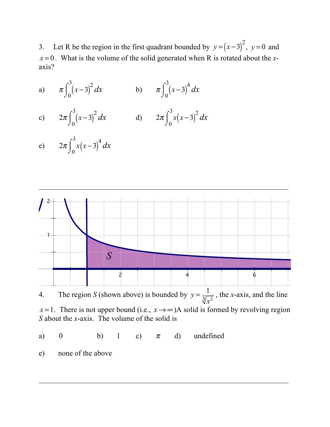3. Let R be the region in the first quadrant bounded by  $y = (x-3)^2$ ,  $y = 0$  and  $x = 0$ . What is the volume of the solid generated when R is rotated about the *x*axis?

- a)  $\pi \int_{0}^{3} (x-3)^{2} dx$ 0  $\int_0^3$  $\int_0^3 (x-3)^2 dx$  b)  $\pi \int_0^3 (x-3)^4 dx$ 0  $\int_0^3$  $\int$
- c)  $2\pi \int_{0}^{3} (x-3)^{2} dx$ 0  $\int_0^3$  $\int_0^3 (x-3)^2 dx$  d)  $2\pi \int_0^3 x (x-3)^2 dx$ 0  $\int_0^3$  $\int$

e) 
$$
2\pi \int_0^3 x(x-3)^4 dx
$$



4. The region *S* (shown above) is bounded by  $y = \frac{1}{\sqrt[3]{x^2}}$ , the *x*-axis, and the line *x* = 1. There is not upper bound (i.e.,  $x \rightarrow \infty$ )A solid is formed by revolving region *S* about the *x*-axis. The volume of the solid is

- a) 0 b) 1 c)  $\pi$  d) undefined
- e) none of the above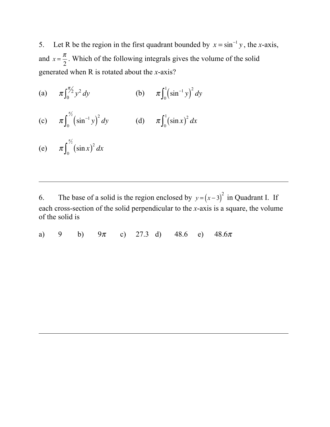5. Let R be the region in the first quadrant bounded by  $x = \sin^{-1} y$ , the *x*-axis, and  $x = \frac{\pi}{2}$ 2 . Which of the following integrals gives the volume of the solid generated when R is rotated about the *x*-axis?

- (a)  $\pi \int_0^{\pi/2} y^2 dy$  $\int_0^{\pi/2} y^2 dy$  (b)  $\pi \int_0^1 (\sin^{-1} y)^2 dy$
- (c)  $\pi \int_0^{\pi} \left( \sin^{-1} y \right)^2 dy$  $\frac{\pi}{2}$  $\int_0^{\infty} (\sin^{-1} y)^2 dy$  (d)  $\pi \int_0^1 (\sin x)^2 dx$  $\int_0^1$
- (e)  $\pi \int_0^{\pi} (\sin x)^2 dx$  $\frac{\pi}{2}$ ∫

6. The base of a solid is the region enclosed by  $y = (x-3)^2$  in Quadrant I. If each cross-section of the solid perpendicular to the *x*-axis is a square, the volume of the solid is

a) 9 b)  $9\pi$  c) 27.3 d) 48.6 e) 48.6 $\pi$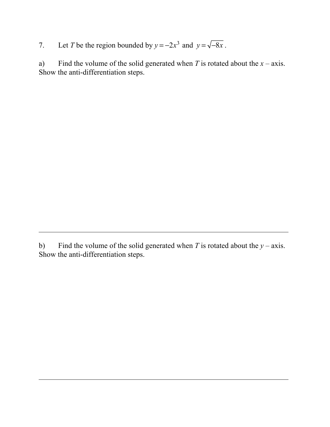7. Let *T* be the region bounded by  $y = -2x^3$  and  $y = \sqrt{-8x}$ .

a) Find the volume of the solid generated when *T* is rotated about the  $x - axis$ . Show the anti-differentiation steps.

b) Find the volume of the solid generated when *T* is rotated about the  $y - axis$ . Show the anti-differentiation steps.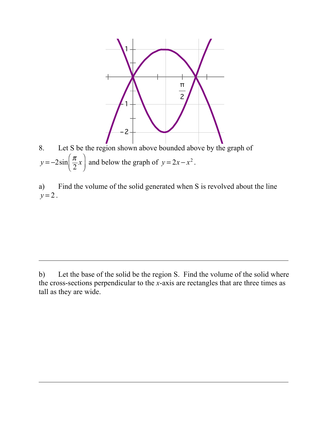

8. Let S be the region shown above bounded above by the graph of  $y = -2\sin\left(\frac{\pi}{2}x\right)$  $\lambda$  $\int$  and below the graph of  $y = 2x - x^2$ .

a) Find the volume of the solid generated when S is revolved about the line  $y = 2$ .

b) Let the base of the solid be the region S. Find the volume of the solid where the cross-sections perpendicular to the *x*-axis are rectangles that are three times as tall as they are wide.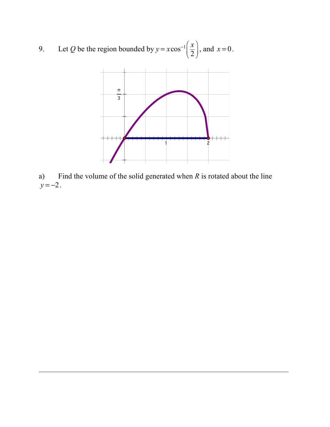9. Let *Q* be the region bounded by  $y = x \cos^{-1} \left( \frac{x}{2} \right)$ 2  $\sqrt{}$  $\vert$  $\lambda$  $\int$ , and  $x = 0$ .



a) Find the volume of the solid generated when *R* is rotated about the line *y* = −2.